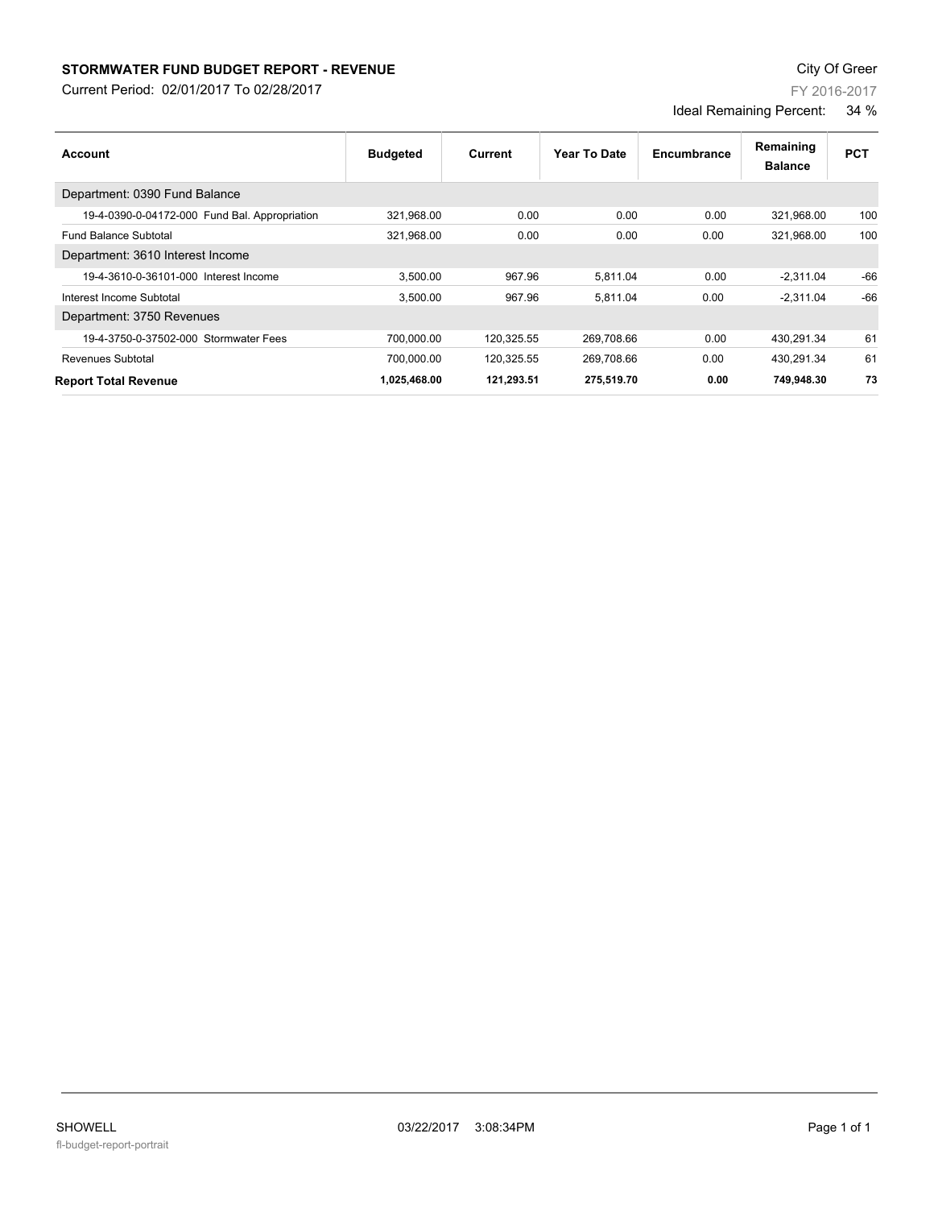## **STORMWATER FUND BUDGET REPORT - REVENUE CONSUMPTER FUND BUDGET REPORT - REVENUE**

Current Period: 02/01/2017 To 02/28/2017

| FY 2016-2017 |  |
|--------------|--|
|--------------|--|

Ideal Remaining Percent: 34 %

| Account                                       | <b>Budgeted</b> | Current    | Year To Date | Encumbrance | Remaining<br><b>Balance</b> | <b>PCT</b> |
|-----------------------------------------------|-----------------|------------|--------------|-------------|-----------------------------|------------|
| Department: 0390 Fund Balance                 |                 |            |              |             |                             |            |
| 19-4-0390-0-04172-000 Fund Bal. Appropriation | 321,968.00      | 0.00       | 0.00         | 0.00        | 321,968.00                  | 100        |
| <b>Fund Balance Subtotal</b>                  | 321,968.00      | 0.00       | 0.00         | 0.00        | 321.968.00                  | 100        |
| Department: 3610 Interest Income              |                 |            |              |             |                             |            |
| 19-4-3610-0-36101-000 Interest Income         | 3.500.00        | 967.96     | 5,811.04     | 0.00        | $-2,311.04$                 | $-66$      |
| Interest Income Subtotal                      | 3,500.00        | 967.96     | 5,811.04     | 0.00        | $-2.311.04$                 | $-66$      |
| Department: 3750 Revenues                     |                 |            |              |             |                             |            |
| 19-4-3750-0-37502-000 Stormwater Fees         | 700,000.00      | 120,325.55 | 269,708.66   | 0.00        | 430,291.34                  | 61         |
| <b>Revenues Subtotal</b>                      | 700.000.00      | 120.325.55 | 269.708.66   | 0.00        | 430.291.34                  | 61         |
| <b>Report Total Revenue</b>                   | 1,025,468.00    | 121.293.51 | 275.519.70   | 0.00        | 749.948.30                  | 73         |